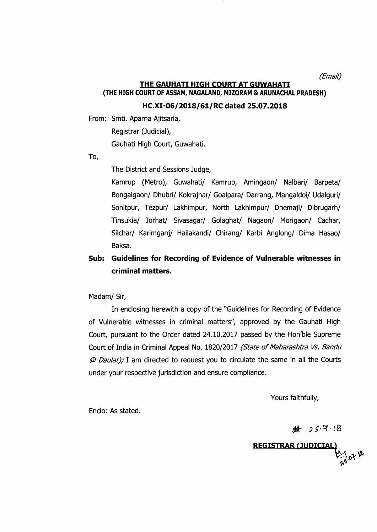(Email)

#### THE GAUHATI HIGH COURT AT GUWAHATI (THE HIGH COURT OF ASSAM, NAGALAND, MIZORAM & ARUNACHAL PRADESH)

HC.XI-06/2018/61/RC dated 25.07.2018

From: Smti. Aparna Ajitsaria,

Registrar (Judicial),

Gauhati High Court, Guwahati.

To,

The District and Sessions Judge,

Kamrup (Metro), Guwahati/ Kamrup, Amingaon/ Nalbari/ Barpeta/ Bongaigaon/ Dhubri/ Kokrajhar/ Goalpara/ Darrang, Mangaldoi/ Udalguri/ Sonitpur, Tezpur/ Lakhimpur, North Lakhimpur/ Dhemaji/ Dibrugarh/ Tinsukia/ Jorhat/ Sivasagar/ Golaghat/ Nagaon/ Morigaon/ Cachar, Silchar/ Karimganj/ Hailakandi/ Chirang/ Karbi Anglong/ Dima Hasao/ Baksa.

## Sub: Guidelines for Recording of Evidence of Vulnerable witnesses in criminal matters.

Madam/ Sir,

In enclosing herewith a copy of the "Guidelines for Recording of Evidence of Vulnerable witnesses in criminal matters", approved by the Gauhati High Court, pursuant to the Order dated 24.10.2017 passed by the Hon'ble Supreme Court of India in Criminal Appeal No. 1820/2017 (State of Maharashtra Vs. Bandu @ Daulat); I am directed to request you to circulate the same in all the Courts under your respective jurisdiction and ensure compliance.

Yours faithfully,

Enclo: As stated.

 $4 + 25.718$ 

**REGISTRAR (JUDICIA** \$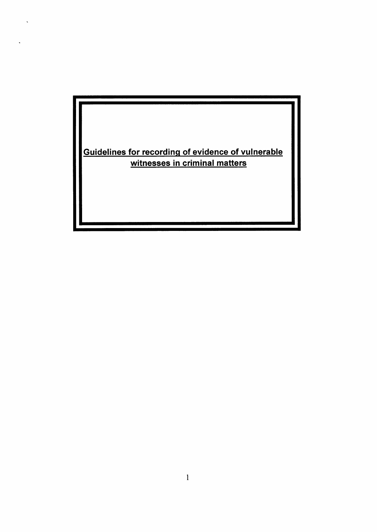Guidelines for recordinq of evidence of vulnerable witnesses in criminal matters

 $\ddot{\phantom{a}}$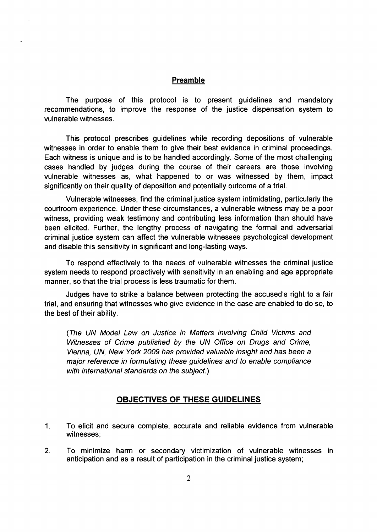#### Preamble

The purpose of this protocol is to present guidelines and mandatory recommendations, to improve the response of the justice dispensation system to vulnerable witnesses.

This protocol prescribes guidelines while recording depositions of vulnerable witnesses in order to enable them to give their best evidence in criminal proceedings. Each witness is unique and is to be handled accordingly. Some of the most challenging cases handled by judges during the course of their careers are those involving vulnerable witnesses as, what happened to or was witnessed by them, impact significantly on their quality of deposition and potentially outcome of a trial.

Vulnerable witnesses, find the criminaljustice system intimidating, particularly the courtroom experience. Under these circumstances, a vulnerable witness may be a poor witness, providing weak testimony and contributing less information than should have been elicited. Further, the lengthy process of navigating the formal and adversarial criminal justice system can affect the vulnerable witnesses psychological development and disable this sensitivity in significant and long-lasting ways.

To respond effectively to the needs of vulnerable witnesses the criminal justice system needs to respond proactively with sensitivity in an enabling and age appropriate manner, so that the trial process is less traumatic for them.

Judges have to strike a balance between protecting the accused's right to a fair trial, and ensuring that witnesses who give evidence in the case are enabled to do so, to the best of their ability.

(The UN Model Law on Justice in Matters involving Child Victims and Wifnesses of Crime published by the UN Office on Drugs and Crime, Vienna, UN, New York 2009 has provided valuable insight and has been a major reference in formulating these guidelines and to enable compliance with international standards on the subject.)

#### OBJECTIVES OF THESE GUIDELINES

- To elicit and secure complete, accurate and reliable evidence from vulnerable witnesses; 1
- To minimize harm or secondary victimization of vulnerable witnesses in anticipation and as a result of participation in the criminal justice system; 2.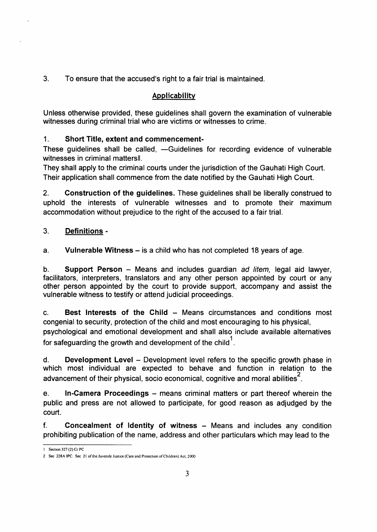3. To ensure that the accused's right to a fair trial is maintained.

## **Applicability**

Unless otherwise provided, these guidelines shall govern the examination of vulnerable witnesses during criminal trial who are victims or witnesses to crime.

## 1. Short Title, extent and commencement-

These guidelines shall be called, -Guidelines for recording evidence of vulnerable witnesses in criminal matters l.

They shall apply to the criminal courts under the jurisdiction of the Gauhati High Court. Their application shall commence from the date notified by the Gauhati High Court.

2. Construction of the guidelines. These guidelines shall be liberally construed to uphold the interests of vulnerable witnesses and to promote their maximum accommodation without prejudice to the right of the accused to a fair trial.

#### 3. **Definitions -**

a. Vulnerable Witness  $-$  is a child who has not completed 18 years of age.

b. Support Person – Means and includes guardian ad litem, legal aid lawyer, facilitators, interpreters, translators and any other person appointed by court or any other person appointed by the court to provide support, accompany and assist the vulnerable witness to testiry or aftend judicial proceedings.

c. Best Interests of the Child - Means circumstances and conditions most congenial to security, protection of the child and most encouraging to his physical,

psychological and emotional development and shall also include available alternatives for safeguarding the growth and development of the child $\cdot$ .

d. Development Level - Development level refers to the specific growth phase in which most individual are expected to behave and function in relation to the advancement of their physical, socio economical, cognitive and moral abilities<sup>2</sup>.

e. In-Camera Proceedings – means criminal matters or part thereof wherein the public and press are not allowed to participate, for good reason as adjudged by the court.

f. Concealment of ldentity of witness - Means and includes any condition prohibiting publication of the name, address and other particulars which may lead to the

<sup>1</sup> Section 327 (2) Cr PC

<sup>2</sup> Sec 228A IPC. Sec 21 of the Juvenile Justice (Care and Protection of Children) Act, 2000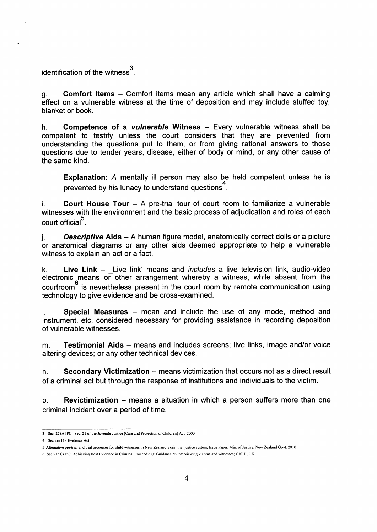identification of the witness $\mathrm{^{3}}$ 

g. Comfort ltems - Comfort items mean any article which shall have a calming effect on a vulnerable witness at the time of deposition and may include stuffed toy, blanket or book.

h. Competence of a *vulnerable* Witness  $-$  Every vulnerable witness shall be competent to testify unless the court considers that they are prevented from understanding the questions put to them, or from giving rational answers to those questions due to tender years, disease, either of body or mind, or any other cause of the same kind.

Explanation: A mentally ill person may also be held competent unless he is prevented by his lunacy to understand questions<sup>4</sup>.

i. Court House Tour  $-$  A pre-trial tour of court room to familiarize a vulnerable witnesses with the environment and the basic process of adjudication and roles of each court official<sup>5</sup>.

 $i.$  Descriptive Aids - A human figure model, anatomically correct dolls or a picture or anatomical diagrams or any other aids deemed appropriate to help a vulnerable witness to explain an act or a fact.

k. Live Link  $-$  Live link' means and *includes* a live television link, audio-video electronic means or other arrangement whereby a witness, while absent from the courtroom<sup>o</sup> is nevertheless present in the court room by remote communication using technology to give evidence and be cross-examined.

 $L$  Special Measures – mean and include the use of any mode, method and instrument, etc, considered necessary for providing assistance in recording deposition of vulnerable witnesses.

m. **Testimonial Aids** – means and includes screens; live links, image and/or voice altering devices; or any other technical devices.

 $n.$  Secondary Victimization – means victimization that occurs not as a direct result of a criminal act but through the response of institutions and individuals to the victim.

o. Revictimization - means a situation in which a person suffers more than one criminal incident over a period of time.

<sup>3</sup> Sec. 228A IPC. Sec. 21 of the Juvenile Justice (Care and Protection of Children) Act, 2000

<sup>4</sup> Section 118 Evidence Act

<sup>5</sup> Alternative pre-trial and trial processes for child witnesses in New Zealand's criminal justice system, Issue Paper, Min. of Justice, New Zealand Govt. 2010

<sup>6</sup> Sec 275 Cr.P.C. Achieving Best Evidence in Criminal Proceedings: Guidance on interviewing victims and witnesses; CJSHI; UK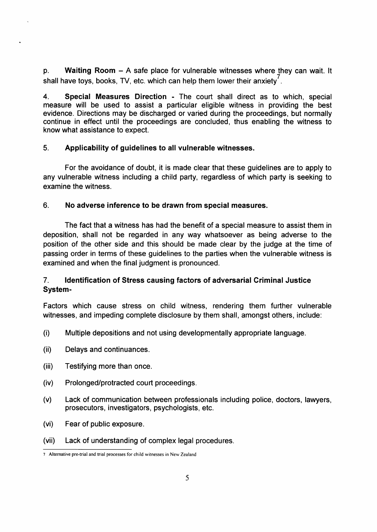p. Waiting Room - A safe place for vulnerable witnesses where they can wait. It shall have toys, books, TV, etc. which can help them lower their anxiety'.

4. Special Measures Direction - The court shall direct as to which, special measure will be used to assist a particular eligible witness in providing the best evidence. Directions may be discharged or varied during the proceedings, but normally continue in effect until the proceedings are concluded, thus enabling the witness to know what assistance to expect.

#### 5. Applicability of guidelines to all vulnerable witnesses.

For the avoidance of doubt, it is made clear that these guidelines are to apply to any vulnerable witness including a child party, regardless of which party is seeking to examine the witness.

#### 6. No adverse inference to be drawn from special measures.

The fact that a witness has had the benefit of a special measure to assist them in deposition, shall not be regarded in any way whatsoever as being adverse to the position of the other side and this should be made clear by the judge at the time of passing order in terms of these guidelines to the parties when the vulnerable witness is examined and when the final judgment is pronounced.

### <sup>7</sup>. ldentification of Stress causing factors of adversarial Criminal Justice System-

Factors which cause stress on child witness, rendering them further vulnerable witnesses, and impeding complete disclosure by them shall, amongst others, include:

- (i) Multiple depositions and not using developmentally appropriate language.
- (ii) Delays and continuances.
- (iii) Testifying more than once.
- (iv) Prolonged/protracted court proceedings.
- (v) Lack of communication between professionals including police, doctors, lawyers, prosecutors, investigators, psychologists, etc.
- (vi) Fear of public exposure.
- (vii) Lack of understanding of complex legal procedures.

<sup>7</sup> Alternative pre-trial and trial processes for child witnesses in New Zealand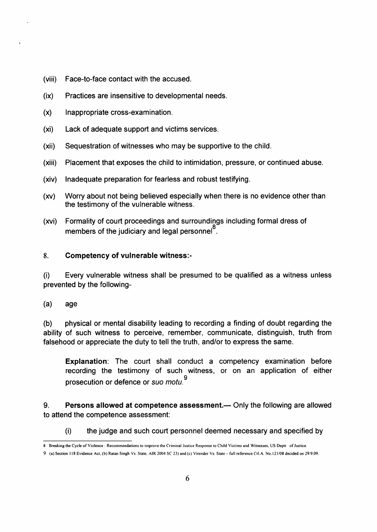- (viii) Face-to-face contact with the accused.
- $(ix)$ Practices are insensitive to developmental needs.
- $(x)$ lnappropriate cross-examination.
- (xi) Lack of adequate support and victims services.
- (xii) Sequestration of witnesses who may be supportive to the child.
- (xiii) Placement that exposes the child to intimidation, pressure, or continued abuse.
- (xiv) lnadequate preparation for fearless and robust testifying.
- $(xv)$ Worry about not being believed especially when there is no evidence other than the testimony of the vulnerable witness.
- Formality of court proceedings and surroundings including formal dress of members of the judiciary and legal personnel<sup> $\delta$ </sup>.  $(xvi)$

#### 8. Competency of vulnerable witness

(i) Every vulnerable witness shall be presumed to be qualified as a witness unless prevented by the following-

(a) age

(b) physical or mental disability leading to recording a finding of doubt regarding the ability of such witness to perceive, remember, communicate, distinguish, truth from falsehood or appreciate the duty to tell the truth, and/or to express the same.

Explanation: The court shall conduct a competency examination before recording the testimony of such witness, or on an application of either prosecution or defence or suo motu.

9. Persons allowed at competence assessment.— Only the following are allowed to attend the competence assessment:

(i) the judge and such court personnel deemed necessary and specified by

<sup>8</sup> Breaking the Cycle of Violence: Recommendations to improve the Criminal Justice Response to Child Victims and Witnesses, US Deptt of Justice.

<sup>9 (</sup>a) Section 118 Evidence Act, (b) Ratan Singh Vs. State, AIR 2004 SC 23) and (c) Virender Vs. State - full reference Crl.A. No.121/08 decided on 29.9.09.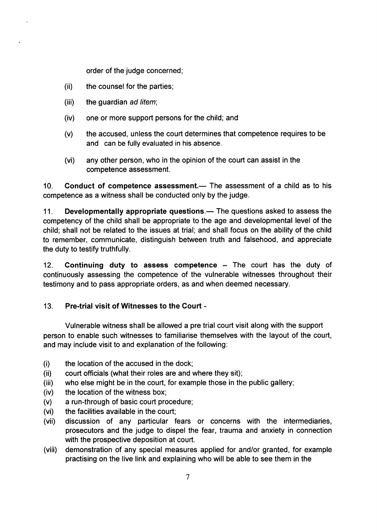order of the judge concerned;

- (ii) the counsel for the parties;
- (iii) the guardian ad litem;
- (iv) one or more support persons for the child; and
- (v) the accused, unless the court determines that competence requires to be and can be fully evaluated in his absence.
- (vi) any other person, who in the opinion of the court can assist in the competence assessment.

10. Conduct of competence assessment.— The assessment of a child as to his competence as a witness shall be conducted only by the judge.

11. Developmentally appropriate questions.— The questions asked to assess the competency of the child shall be appropriate to the age and developmental level of the child; shall not be related to the issues at trial; and shall focus on the ability of the child to remember, communicate, distinguish between truth and falsehood, and appreciate the duty to testify truthfully.

12. Continuing duty to assess competence  $-$  The court has the duty of continuously assessing the competence of the vulnerable witnesses throughout their testimony and to pass appropriate orders, as and when deemed necessary.

#### 13. Pre-trial visit of Witnesses to the Court -

Vulnerable witness shall be allowed a pre trial court visit along with the support person to enable such witnesses to familiarise themselves with the layout of the court, and may include visit to and explanation of the following:

- (i) the location of the accused in the dock;
- $(ii)$ court officials (what their roles are and where they sit);
- $(iii)$ who else might be in the court, for example those in the public gallery;
- (iv) the location of the witness box;
- (v) a run-through of basic court procedure;
- (vi) the facilities available in the court;
- (vii) discussion of any particular fears or concerns with the intermediaries, prosecutors and the judge to dispel the fear, trauma and anxiety in connection with the prospective deposition at court.
- demonstration of any special measures applied for and/or granted, for example practising on the live link and explaining who will be able to see them in the (viii)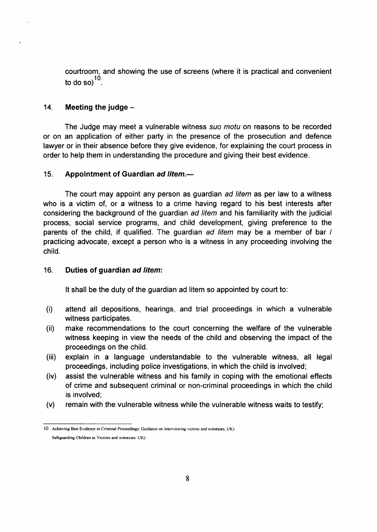courtroom, and showing the use of screens (where it is practical and convenient to do so $^{10}$ .

#### 14. Meeting the judge  $-$

The Judge may meet a vulnerable witness suo motu on reasons to be recorded or on an application of either party in the presence of the prosecution and defence lawyer or in their absence before they give evidence, for explaining the court process in order to help them in understanding the procedure and giving their best evidence.

#### 15. Appointment of Guardian ad litem.—

The court may appoint any person as guardian ad litem as per law to a witness who is a victim of, or a witness to a crime having regard to his best interests after considering the background of the guardian ad litem and his familiarity with the judicial process, social service programs, and child development, giving preference to the parents of the child, if qualified. The guardian ad litem may be a member of bar / practicing advocate, except a person who is a witness in any proceeding involving the child.

#### 16. Duties of guardian ad litem:

It shall be the duty of the guardian ad litem so appointed by court to:

- (i) attend all depositions, hearings, and trial proceedings in which a vulnerable witness participates.
- make recommendations to the court concerning the welfare of the vulnerable witness keeping in view the needs of the child and observing the impact of the proceedings on the child.  $(ii)$
- explain in a language understandable to the vulnerable witness, all legal proceedings, including police investigations, in which the child is involved; (iii)
- assist the vulnerable witness and his family in coping with the emotional effects of crime and subsequent criminal or non-criminal proceedings in which the child is involved; (iv)
- remain with the vulnerable witness while the vulnerable witness waits to testify; (v)

<sup>10</sup> Achieving Best Evidence in Criminal Proceedings: Guidance on interviewing victims and witnesses, UK) Safeguarding Children as Victims and witnesses: UK)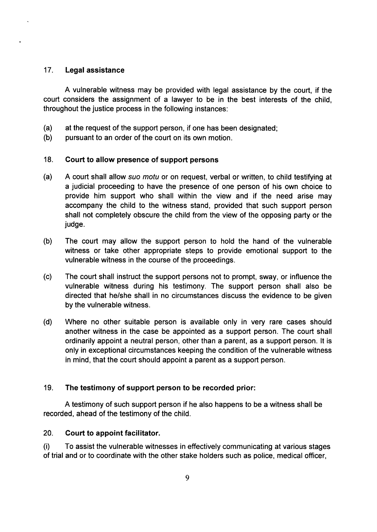#### 17. Legal assistance

A vulnerable witness may be provided with legal assistance by the court, if the court considers the assignment of a lawyer to be in the best interests of the child, throughout the justice process in the following instances:

- (a) at the request of the support person, if one has been designated;
- (b) pursuant to an order of the court on its own motion.

#### 18. Court to allow presence of support persons

- (a) <sup>A</sup>court shall allow suo motu or on request, verbal or written, to child testifying at a judicial proceeding to have the presence of one person of his own choice to provide him support who shall within the view and if the need arise may accompany the child to the witness stand, provided that such support person shall not completely obscure the child from the view of the opposing party or the judge.
- (b) The court may allow the support person to hold the hand of the vulnerable witness or take other appropriate steps to provide emotional support to the vulnerable witness in the course of the proceedings.
- (c) The court shall instruct the support persons not to prompt, sway, or influence the vulnerable witness during his testimony. The support person shall also be directed that he/she shall in no circumstances discuss the evidence to be given by the vulnerable witness.
- (d) Where no other suitable person is available only in very rare cases should another witness in the case be appointed as a support person. The court shall ordinarily appoint a neutral person, other than a parent, as a support person. lt is only in exceptional circumstances keeping the condition of the vulnerable witness in mind, that the court should appoint a parent as a support person.

#### 19. The testimony of support person to be recorded prior:

A testimony of such support person if he also happens to be a witness shall be recorded, ahead of the testimony of the child.

#### 20. Court to appoint facilitator.

(i) To assist the vulnerable witnesses in effectively communicating at various stages of trial and or to coordinate with the other stake holders such as police, medical officer,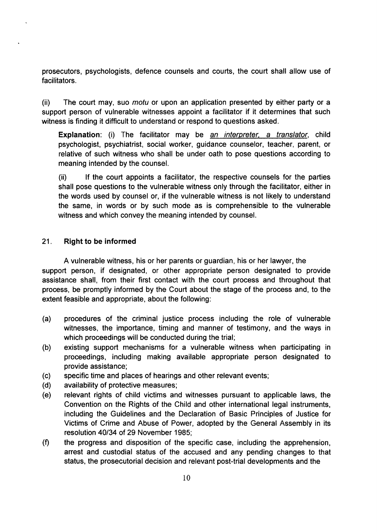prosecutors, psychologists, defence counsels and courts, the court shall allow use of facilitators.

(ii) The court may, suo motu or upon an application presented by either party or <sup>a</sup> support person of vulnerable witnesses appoint a facilitator if it determines that such witness is finding it difficult to understand or respond to questions asked.

Explanation: (i) The facilitator may be an interpreter, a translator, child psychologist, psychiatrist, social worker, guidance counselor, teacher, parent, or relative of such witness who shall be under oath to pose questions according to meaning intended by the counsel.

 $(i)$  If the court appoints a facilitator, the respective counsels for the parties shall pose questions to the vulnerable witness only through the facilitator, either in the words used by counsel or, if the vulnerable witness is not likely to understand the same, in words or by such mode as is comprehensible to the vulnerable witness and which convey the meaning intended by counsel.

#### 21. Right to be informed

A vulnerable witness, his or her parents or guardian, his or her lawyer, the support person, if designated, or other appropriate person designated to provide assistance shall, from their first contact with the court process and throughout that process, be promptly informed by the Court about the stage of the process and, to the extent feasible and appropriate, about the following:

- (a) procedures of the criminal justice process including the role of vulnerable witnesses, the importance, timing and manner of testimony, and the ways in which proceedings will be conducted during the trial;
- (b) existing support mechanisms for a vulnerable witness when participating in proceedings, including making available appropriate person designated to provide assistance;
- (c) specific time and places of hearings and other relevant events;
- (d) availability of protective measures;
- (e) relevant rights of child victims and witnesses pursuant to applicable laws, the Convention on the Rights of the Child and other international legal instruments, including the Guidelines and the Declaration of Basic Principles of Justice for Victims of Crime and Abuse of Power, adopted by the General Assembly in its resolution 40/34 of 29 November 1985;
- the progress and disposition of the specific case, including the apprehension, arrest and custodial status of the accused and any pending changes to that status, the prosecutorial decision and relevant post-trial developments and the  $(f)$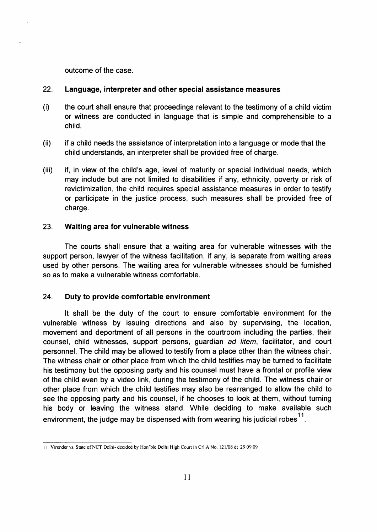outcome of the case.

#### 22. Language, interpreter and other special assistance measures

- (i) the court shall ensure that proceedings relevant to the testimony of a child victim or witness are conducted in language that is simple and comprehensible to a child.
- (ii) if a child needs the assistance of interpretation into a language or mode that the child understands, an interpreter shall be provided free of charge.
- (iii) if, in view of the child's age, level of maturity or special individual needs, which may include but are not limited to disabilities if any, ethnicity, poverty or risk of revictimization, the child requires special assistance measures in order to testify or participate in the justice process, such measures shall be provided free of charge.

#### 23. Waiting area for vulnerable witness

The courts shall ensure that a waiting area for vulnerable witnesses with the support person, lawyer of the witness facilitation, if any, is separate from waiting areas used by other persons. The waiting area for vulnerable witnesses should be furnished so as to make a vulnerable witness comfortable.

#### 24. Duty to provide comfortable environment

It shall be the duty of the court to ensure comfortable environment for the vulnerable witness by issuing directions and also by supervising, the location, movement and deportment of all persons in the courtroom including the parties, their counsel, child witnesses, support persons, guardian ad litem, facilitator, and court personnel. The child may be allowed to testify from a place other than the witness chair. The witness chair or other place from which the child testifies may be turned to facilitate his testimony but the opposing party and his counsel must have a frontal or profile view of the child even by a video link, during the testimony of the child. The witness chair or other place from which the child testifies may also be rearranged to allow the child to see the opposing party and his counsel, if he chooses to look at them, without turning his body or leaving the witness stand. While deciding to make available such environment, the judge may be dispensed with from wearing his judicial robes $^{11}$ .

<sup>11</sup> Virender vs. State of NCT Delhi- decided by Hon'ble Delhi High Court in Crl.A No. 121/08 dt 29 09 09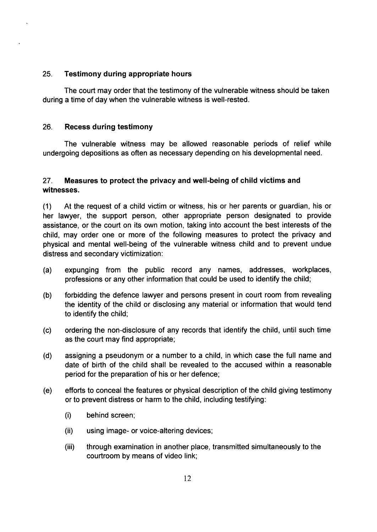#### 25. Testimony during appropriate hours

The court may order that the testimony of the vulnerable witness should be taken during a time of day when the vulnerable witness is well-rested.

#### 26. Recess during testimony

The vulnerable witness may be allowed reasonable periods of relief while undergoing depositions as often as necessary depending on his developmental need.

#### 27. Measures to protect the privacy and well-being of child victims and witnesses.

(1) At the request of a child victim or witness, his or her parents or guardian, his or her lawyer, the support person, other appropriate person designated to provide assistance, or the court on its own motion, taking into account the best interests of the child, may order one or more of the following measures to protect the privacy and physical and mental well-being of the vulnerable witness child and to prevent undue distress and secondary victimization:

- (a) expunging from the public record any names, addresses, workplaces, professions or any other information that could be used to identify the child;
- (b) forbidding the defence lawyer and persons present in court room from revealing the identity of the child or disclosing any material or information that would tend to identify the child;
- (c) ordering the non-disclosure of any records that identify the child, until such time as the court may find appropriate;
- (d) assigning a pseudonym or a number to a child, in which case the full name and date of birth of the child shall be revealed to the accused within a reasonable period for the preparation of his or her defence;
- (e) efforts to conceal the features or physical description of the child giving testimony or to prevent distress or harm to the child, including testifying:
	- (i) behind screen;
	- (ii) using image- or voice-altering devices;
	- iii) through examination in another place, transmitted simultaneously to the courtroom by means of video link;